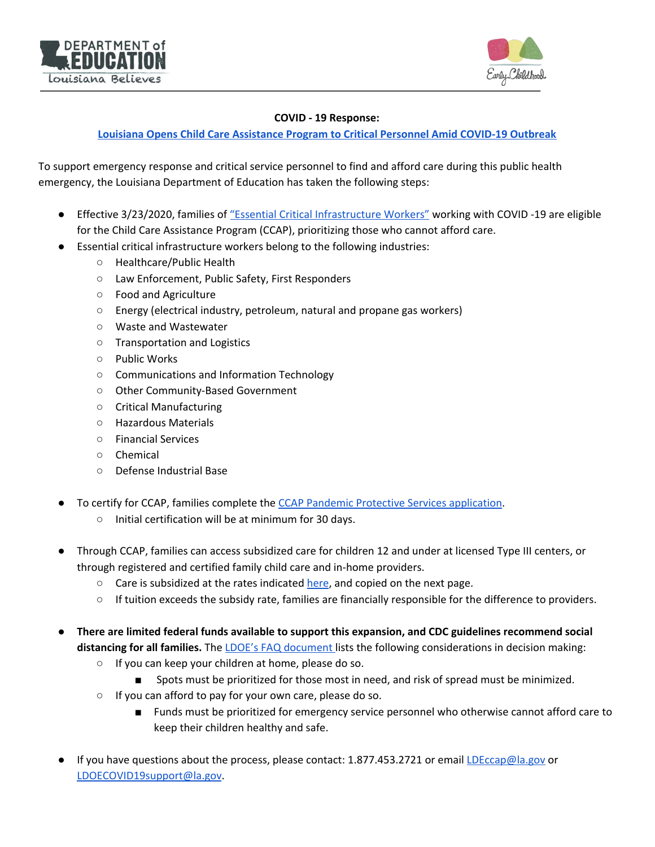



## **COVID - 19 Response:**

## **Louisiana Opens Child Care [Assistance](https://www.louisianabelieves.com/newsroom/news-releases/2020/03/23/louisiana-opens-child-care-assistance-program-to-critical-personnel-amid-covid-19-outbreak) Program to Critical Personnel Amid COVID-19 Outbreak**

To support emergency response and critical service personnel to find and afford care during this public health emergency, the Louisiana Department of Education has taken the following steps:

- Effective 3/23/2020, families of "Essential Critical [Infrastructure](https://www.cisa.gov/sites/default/files/publications/CISA-Guidance-on-Essential-Critical-Infrastructure-Workers-1-20-508c.pdf) Workers" working with COVID -19 are eligible for the Child Care Assistance Program (CCAP), prioritizing those who cannot afford care.
- Essential critical infrastructure workers belong to the following industries:
	- Healthcare/Public Health
	- Law Enforcement, Public Safety, First Responders
	- Food and Agriculture
	- Energy (electrical industry, petroleum, natural and propane gas workers)
	- Waste and Wastewater
	- Transportation and Logistics
	- Public Works
	- Communications and Information Technology
	- Other Community-Based Government
	- Critical Manufacturing
	- Hazardous Materials
	- Financial Services
	- Chemical
	- Defense Industrial Base
- To certify for CCAP, families complete the CCAP Pandemic Protective Services [application.](https://www.louisianabelieves.com/docs/default-source/child-care-providers/child-care-assistance-program-(ccap)-pandemic-protective-services-crisis-application.pdf?sfvrsn=21e09b1f_8)
	- Initial certification will be at minimum for 30 days.
- Through CCAP, families can access subsidized care for children 12 and under at licensed Type III centers, or through registered and certified family child care and in-home providers.
	- Care is subsidized at the rates indicated [here,](https://www.louisianabelieves.com/docs/default-source/child-care-providers/ccap-rate-changes.pdf?sfvrsn=2f5d8d1f_10) and copied on the next page.
	- If tuition exceeds the subsidy rate, families are financially responsible for the difference to providers.
- **There are limited federal funds available to support this expansion, and CDC guidelines recommend social distancing for all families.** The LDOE's FAQ [document](https://www.louisianabelieves.com/docs/default-source/louisiana-believes/covid-19-faq_-child-care-centers_providers.pdf?sfvrsn=61d19b1f_2) lists the following considerations in decision making:
	- If you can keep your children at home, please do so.
		- Spots must be prioritized for those most in need, and risk of spread must be minimized.
	- If you can afford to pay for your own care, please do so.
		- Funds must be prioritized for emergency service personnel who otherwise cannot afford care to keep their children healthy and safe.
- If you have questions about the process, please contact: 1.877.453.2721 or email [LDEccap@la.gov](mailto:LDEccap@la.gov) or [LDOECOVID19support@la.gov](mailto:LDOECOVID19support@la.gov).